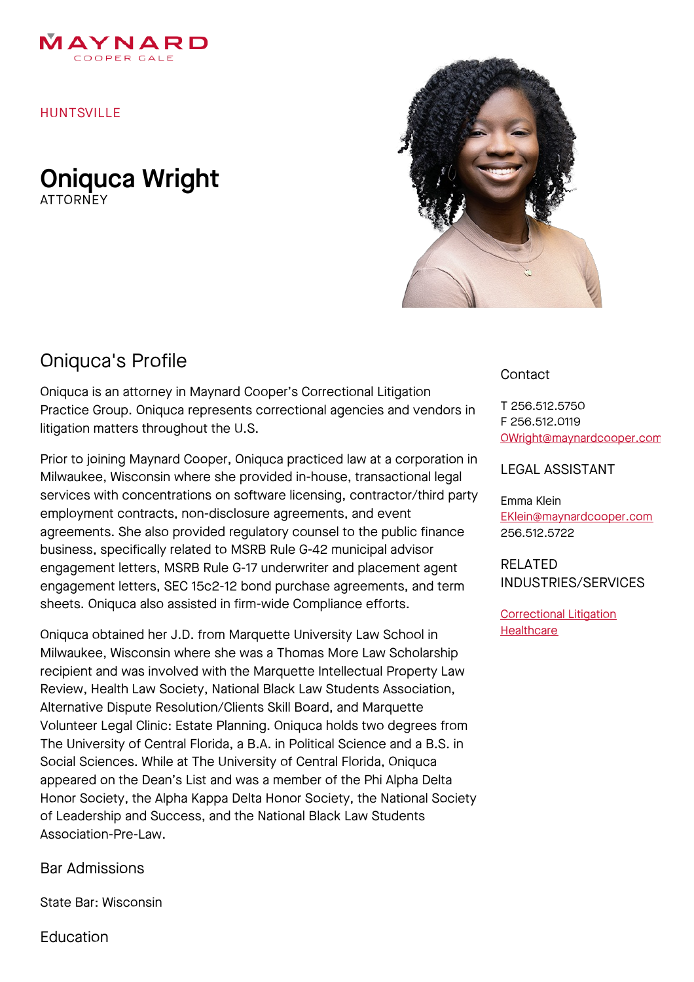

HUNTSVILLE

Oniquca Wright **ATTORNFY** 



## Oniquca's Profile

Oniquca is an attorney in Maynard Cooper's Correctional Litigation Practice Group. Oniquca represents correctional agencies and vendors in litigation matters throughout the U.S.

Prior to joining Maynard Cooper, Oniquca practiced law at a corporation in Milwaukee, Wisconsin where she provided in-house, transactional legal services with concentrations on software licensing, contractor/third party employment contracts, non-disclosure agreements, and event agreements. She also provided regulatory counsel to the public finance business, specifically related to MSRB Rule G-42 municipal advisor engagement letters, MSRB Rule G-17 underwriter and placement agent engagement letters, SEC 15c2-12 bond purchase agreements, and term sheets. Oniquca also assisted in firm-wide Compliance efforts.

Oniquca obtained her J.D. from Marquette University Law School in Milwaukee, Wisconsin where she was a Thomas More Law Scholarship recipient and was involved with the Marquette Intellectual Property Law Review, Health Law Society, National Black Law Students Association, Alternative Dispute Resolution/Clients Skill Board, and Marquette Volunteer Legal Clinic: Estate Planning. Oniquca holds two degrees from The University of Central Florida, a B.A. in Political Science and a B.S. in Social Sciences. While at The University of Central Florida, Oniquca appeared on the Dean's List and was a member of the Phi Alpha Delta Honor Society, the Alpha Kappa Delta Honor Society, the National Society of Leadership and Success, and the National Black Law Students Association-Pre-Law.

Bar Admissions

State Bar: Wisconsin

Education

## **Contact**

T 256.512.5750 F 256.512.0119 [OWright@maynardcooper.com](file:///home/maynardcooper/storage/runtime/temp/enupalsnapshottemp/OWright@maynardcooper.com)

## LEGAL ASSISTANT

Emma Klein [EKlein@maynardcooper.com](file:///home/maynardcooper/storage/runtime/temp/enupalsnapshottemp/EKlein@maynardcooper.com) 256.512.5722

RELATED INDUSTRIES/SERVICES

[Correctional](https://www.maynardcooper.com/services/correctional-litigation) Litigation **[Healthcare](https://www.maynardcooper.com/services/healthcare)**